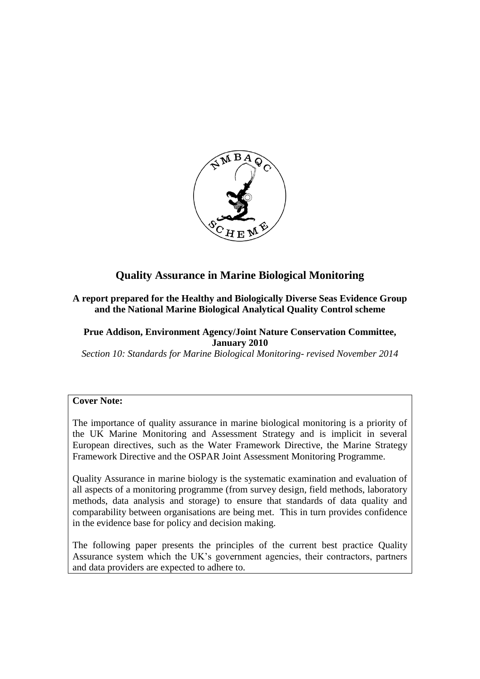

# **Quality Assurance in Marine Biological Monitoring**

#### **A report prepared for the Healthy and Biologically Diverse Seas Evidence Group and the National Marine Biological Analytical Quality Control scheme**

#### **Prue Addison, Environment Agency/Joint Nature Conservation Committee, January 2010**

*Section 10: Standards for Marine Biological Monitoring- revised November 2014*

#### **Cover Note:**

The importance of quality assurance in marine biological monitoring is a priority of the UK Marine Monitoring and Assessment Strategy and is implicit in several European directives, such as the Water Framework Directive, the Marine Strategy Framework Directive and the OSPAR Joint Assessment Monitoring Programme.

Quality Assurance in marine biology is the systematic examination and evaluation of all aspects of a monitoring programme (from survey design, field methods, laboratory methods, data analysis and storage) to ensure that standards of data quality and comparability between organisations are being met. This in turn provides confidence in the evidence base for policy and decision making.

The following paper presents the principles of the current best practice Quality Assurance system which the UK's government agencies, their contractors, partners and data providers are expected to adhere to.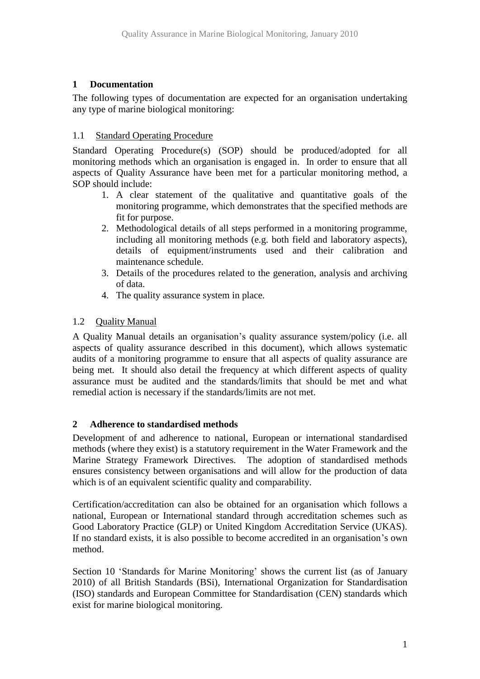### **1 Documentation**

The following types of documentation are expected for an organisation undertaking any type of marine biological monitoring:

### 1.1 Standard Operating Procedure

Standard Operating Procedure(s) (SOP) should be produced/adopted for all monitoring methods which an organisation is engaged in. In order to ensure that all aspects of Quality Assurance have been met for a particular monitoring method, a SOP should include:

- 1. A clear statement of the qualitative and quantitative goals of the monitoring programme, which demonstrates that the specified methods are fit for purpose.
- 2. Methodological details of all steps performed in a monitoring programme, including all monitoring methods (e.g. both field and laboratory aspects), details of equipment/instruments used and their calibration and maintenance schedule.
- 3. Details of the procedures related to the generation, analysis and archiving of data.
- 4. The quality assurance system in place.

### 1.2 Quality Manual

A Quality Manual details an organisation's quality assurance system/policy (i.e. all aspects of quality assurance described in this document), which allows systematic audits of a monitoring programme to ensure that all aspects of quality assurance are being met. It should also detail the frequency at which different aspects of quality assurance must be audited and the standards/limits that should be met and what remedial action is necessary if the standards/limits are not met.

#### **2 Adherence to standardised methods**

Development of and adherence to national, European or international standardised methods (where they exist) is a statutory requirement in the Water Framework and the Marine Strategy Framework Directives. The adoption of standardised methods ensures consistency between organisations and will allow for the production of data which is of an equivalent scientific quality and comparability.

Certification/accreditation can also be obtained for an organisation which follows a national, European or International standard through accreditation schemes such as Good Laboratory Practice (GLP) or United Kingdom Accreditation Service (UKAS). If no standard exists, it is also possible to become accredited in an organisation's own method.

Section 10 'Standards for Marine Monitoring' shows the current list (as of January 2010) of all British Standards (BSi), International Organization for Standardisation (ISO) standards and European Committee for Standardisation (CEN) standards which exist for marine biological monitoring.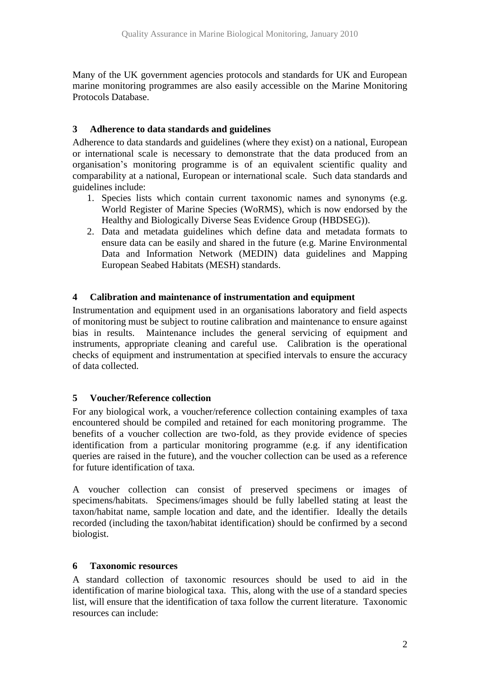Many of the UK government agencies protocols and standards for UK and European marine monitoring programmes are also easily accessible on the Marine Monitoring Protocols Database.

### **3 Adherence to data standards and guidelines**

Adherence to data standards and guidelines (where they exist) on a national, European or international scale is necessary to demonstrate that the data produced from an organisation's monitoring programme is of an equivalent scientific quality and comparability at a national, European or international scale. Such data standards and guidelines include:

- 1. Species lists which contain current taxonomic names and synonyms (e.g. World Register of Marine Species (WoRMS), which is now endorsed by the Healthy and Biologically Diverse Seas Evidence Group (HBDSEG)).
- 2. Data and metadata guidelines which define data and metadata formats to ensure data can be easily and shared in the future (e.g. Marine Environmental Data and Information Network (MEDIN) data guidelines and Mapping European Seabed Habitats (MESH) standards.

### **4 Calibration and maintenance of instrumentation and equipment**

Instrumentation and equipment used in an organisations laboratory and field aspects of monitoring must be subject to routine calibration and maintenance to ensure against bias in results. Maintenance includes the general servicing of equipment and instruments, appropriate cleaning and careful use. Calibration is the operational checks of equipment and instrumentation at specified intervals to ensure the accuracy of data collected.

### **5 Voucher/Reference collection**

For any biological work, a voucher/reference collection containing examples of taxa encountered should be compiled and retained for each monitoring programme. The benefits of a voucher collection are two-fold, as they provide evidence of species identification from a particular monitoring programme (e.g. if any identification queries are raised in the future), and the voucher collection can be used as a reference for future identification of taxa.

A voucher collection can consist of preserved specimens or images of specimens/habitats. Specimens/images should be fully labelled stating at least the taxon/habitat name, sample location and date, and the identifier. Ideally the details recorded (including the taxon/habitat identification) should be confirmed by a second biologist.

#### **6 Taxonomic resources**

A standard collection of taxonomic resources should be used to aid in the identification of marine biological taxa. This, along with the use of a standard species list, will ensure that the identification of taxa follow the current literature. Taxonomic resources can include: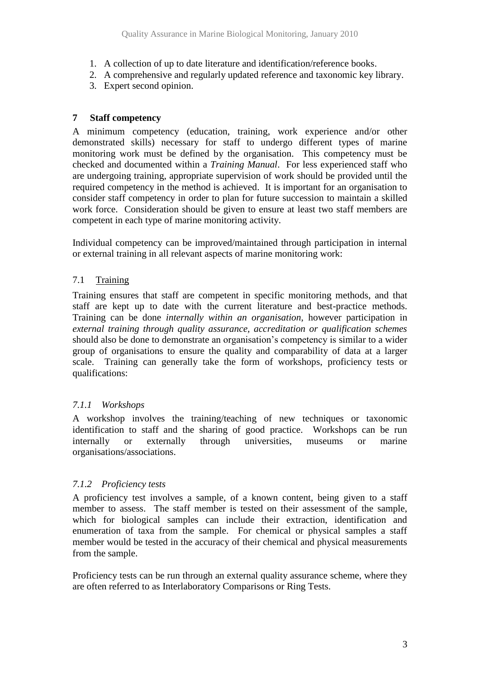- 1. A collection of up to date literature and identification/reference books.
- 2. A comprehensive and regularly updated reference and taxonomic key library.
- 3. Expert second opinion.

### **7 Staff competency**

A minimum competency (education, training, work experience and/or other demonstrated skills) necessary for staff to undergo different types of marine monitoring work must be defined by the organisation. This competency must be checked and documented within a *Training Manual*. For less experienced staff who are undergoing training, appropriate supervision of work should be provided until the required competency in the method is achieved. It is important for an organisation to consider staff competency in order to plan for future succession to maintain a skilled work force. Consideration should be given to ensure at least two staff members are competent in each type of marine monitoring activity.

Individual competency can be improved/maintained through participation in internal or external training in all relevant aspects of marine monitoring work:

### 7.1 Training

Training ensures that staff are competent in specific monitoring methods, and that staff are kept up to date with the current literature and best-practice methods. Training can be done *internally within an organisation*, however participation in *external training through quality assurance, accreditation or qualification schemes* should also be done to demonstrate an organisation's competency is similar to a wider group of organisations to ensure the quality and comparability of data at a larger scale. Training can generally take the form of workshops, proficiency tests or qualifications:

### *7.1.1 Workshops*

A workshop involves the training/teaching of new techniques or taxonomic identification to staff and the sharing of good practice. Workshops can be run internally or externally through universities, museums or marine organisations/associations.

#### *7.1.2 Proficiency tests*

A proficiency test involves a sample, of a known content, being given to a staff member to assess. The staff member is tested on their assessment of the sample, which for biological samples can include their extraction, identification and enumeration of taxa from the sample. For chemical or physical samples a staff member would be tested in the accuracy of their chemical and physical measurements from the sample.

Proficiency tests can be run through an external quality assurance scheme, where they are often referred to as Interlaboratory Comparisons or Ring Tests.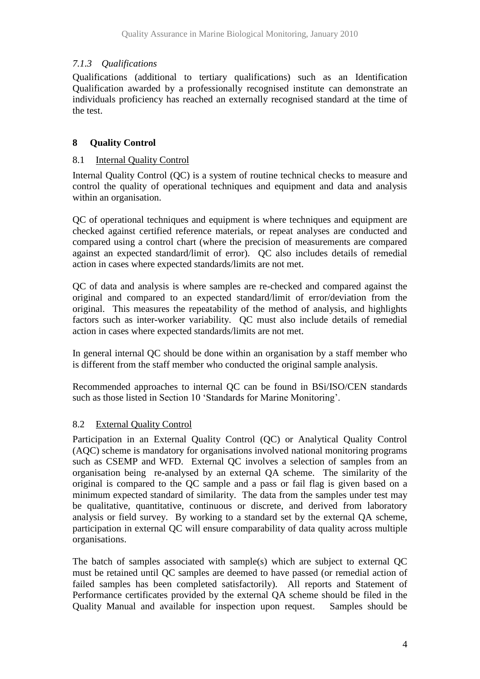## *7.1.3 Qualifications*

Qualifications (additional to tertiary qualifications) such as an Identification Qualification awarded by a professionally recognised institute can demonstrate an individuals proficiency has reached an externally recognised standard at the time of the test.

# **8 Quality Control**

### 8.1 Internal Quality Control

Internal Quality Control (QC) is a system of routine technical checks to measure and control the quality of operational techniques and equipment and data and analysis within an organisation.

QC of operational techniques and equipment is where techniques and equipment are checked against certified reference materials, or repeat analyses are conducted and compared using a control chart (where the precision of measurements are compared against an expected standard/limit of error). QC also includes details of remedial action in cases where expected standards/limits are not met.

QC of data and analysis is where samples are re-checked and compared against the original and compared to an expected standard/limit of error/deviation from the original. This measures the repeatability of the method of analysis, and highlights factors such as inter-worker variability. QC must also include details of remedial action in cases where expected standards/limits are not met.

In general internal QC should be done within an organisation by a staff member who is different from the staff member who conducted the original sample analysis.

Recommended approaches to internal QC can be found in BSi/ISO/CEN standards such as those listed in Section 10 'Standards for Marine Monitoring'.

### 8.2 External Quality Control

Participation in an External Quality Control (QC) or Analytical Quality Control (AQC) scheme is mandatory for organisations involved national monitoring programs such as CSEMP and WFD. External QC involves a selection of samples from an organisation being re-analysed by an external QA scheme. The similarity of the original is compared to the QC sample and a pass or fail flag is given based on a minimum expected standard of similarity. The data from the samples under test may be qualitative, quantitative, continuous or discrete, and derived from laboratory analysis or field survey. By working to a standard set by the external QA scheme, participation in external QC will ensure comparability of data quality across multiple organisations.

The batch of samples associated with sample(s) which are subject to external QC must be retained until QC samples are deemed to have passed (or remedial action of failed samples has been completed satisfactorily). All reports and Statement of Performance certificates provided by the external QA scheme should be filed in the Quality Manual and available for inspection upon request. Samples should be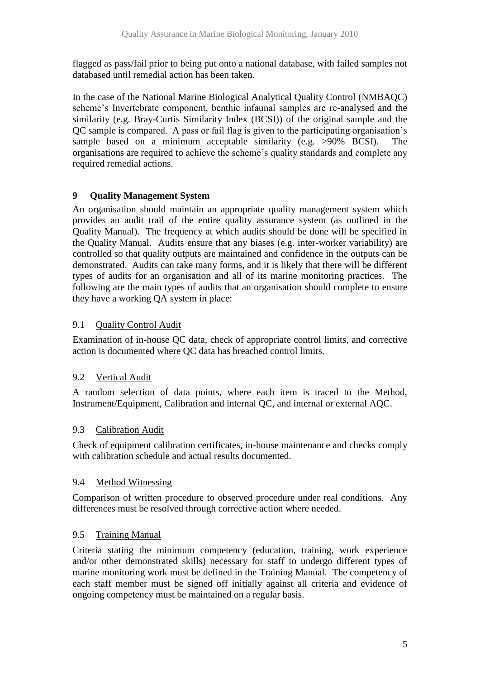flagged as pass/fail prior to being put onto a national database, with failed samples not databased until remedial action has been taken.

In the case of the National Marine Biological Analytical Quality Control (NMBAQC) scheme's Invertebrate component, benthic infaunal samples are re-analysed and the similarity (e.g. Bray-Curtis Similarity Index (BCSI)) of the original sample and the QC sample is compared. A pass or fail flag is given to the participating organisation's sample based on a minimum acceptable similarity (e.g. >90% BCSI). The organisations are required to achieve the scheme's quality standards and complete any required remedial actions.

### **9 Quality Management System**

An organisation should maintain an appropriate quality management system which provides an audit trail of the entire quality assurance system (as outlined in the Quality Manual). The frequency at which audits should be done will be specified in the Quality Manual. Audits ensure that any biases (e.g. inter-worker variability) are controlled so that quality outputs are maintained and confidence in the outputs can be demonstrated. Audits can take many forms, and it is likely that there will be different types of audits for an organisation and all of its marine monitoring practices. The following are the main types of audits that an organisation should complete to ensure they have a working QA system in place:

## 9.1 Quality Control Audit

Examination of in-house QC data, check of appropriate control limits, and corrective action is documented where QC data has breached control limits.

### 9.2 Vertical Audit

A random selection of data points, where each item is traced to the Method, Instrument/Equipment, Calibration and internal QC, and internal or external AQC.

### 9.3 Calibration Audit

Check of equipment calibration certificates, in-house maintenance and checks comply with calibration schedule and actual results documented.

### 9.4 Method Witnessing

Comparison of written procedure to observed procedure under real conditions. Any differences must be resolved through corrective action where needed.

### 9.5 Training Manual

Criteria stating the minimum competency (education, training, work experience and/or other demonstrated skills) necessary for staff to undergo different types of marine monitoring work must be defined in the Training Manual. The competency of each staff member must be signed off initially against all criteria and evidence of ongoing competency must be maintained on a regular basis.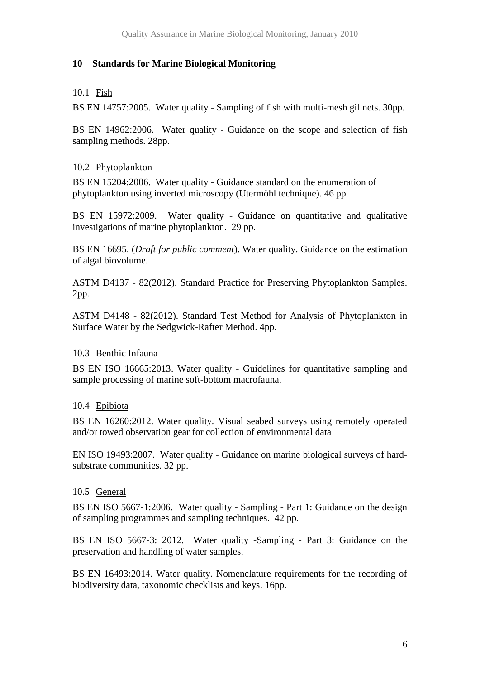#### **10 Standards for Marine Biological Monitoring**

### 10.1 Fish

BS EN 14757:2005. Water quality - Sampling of fish with multi-mesh gillnets. 30pp.

BS EN 14962:2006. Water quality - Guidance on the scope and selection of fish sampling methods. 28pp.

### 10.2 Phytoplankton

BS EN 15204:2006. Water quality - Guidance standard on the enumeration of phytoplankton using inverted microscopy (Utermöhl technique). 46 pp.

BS EN 15972:2009. Water quality - Guidance on quantitative and qualitative investigations of marine phytoplankton. 29 pp.

BS EN 16695. (*Draft for public comment*). Water quality. Guidance on the estimation of algal biovolume.

ASTM D4137 - 82(2012). Standard Practice for Preserving Phytoplankton Samples. 2pp.

ASTM D4148 - 82(2012). Standard Test Method for Analysis of Phytoplankton in Surface Water by the Sedgwick-Rafter Method. 4pp.

### 10.3 Benthic Infauna

BS EN ISO 16665:2013. Water quality - Guidelines for quantitative sampling and sample processing of marine soft-bottom macrofauna.

### 10.4 Epibiota

BS EN 16260:2012. Water quality. Visual seabed surveys using remotely operated and/or towed observation gear for collection of environmental data

EN ISO 19493:2007. Water quality - Guidance on marine biological surveys of hardsubstrate communities. 32 pp.

#### 10.5 General

BS EN ISO 5667-1:2006. Water quality - Sampling - Part 1: Guidance on the design of sampling programmes and sampling techniques. 42 pp.

BS EN ISO 5667-3: 2012. Water quality -Sampling - Part 3: Guidance on the preservation and handling of water samples.

BS EN 16493:2014. Water quality. Nomenclature requirements for the recording of biodiversity data, taxonomic checklists and keys. 16pp.